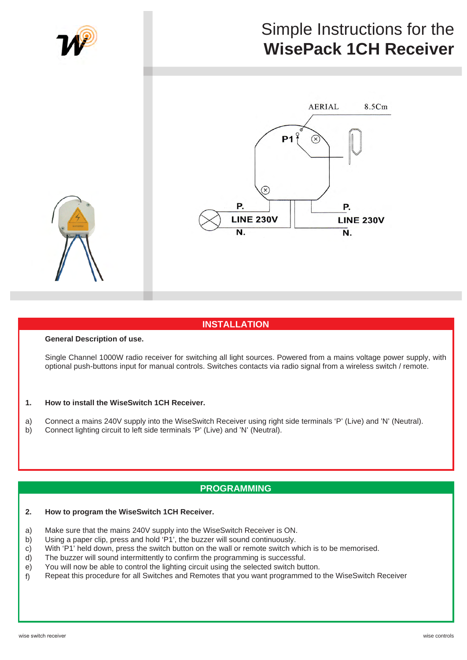

# **INSTALLATION**

## **General Description of use.**

Single Channel 1000W radio receiver for switching all light sources. Powered from a mains voltage power supply, with optional push-buttons input for manual controls. Switches contacts via radio signal from a wireless switch / remote.

#### **How to install the WiseSwitch 1CH Receiver. 1.**

Connect a mains 240V supply into the WiseSwitch Receiver using right side terminals 'P' (Live) and 'N' (Neutral). a)

Connect lighting circuit to left side terminals 'P' (Live) and 'N' (Neutral). b)

## **PROGRAMMING**

#### **How to program the WiseSwitch 1CH Receiver. 2.**

- Make sure that the mains 240V supply into the WiseSwitch Receiver is ON. a)
- Using a paper clip, press and hold 'P1', the buzzer will sound continuously. b)
- With 'P1' held down, press the switch button on the wall or remote switch which is to be memorised. c)
- The buzzer will sound intermittently to confirm the programming is successful. d)
- You will now be able to control the lighting circuit using the selected switch button. e)
- Repeat this procedure for all Switches and Remotes that you want programmed to the WiseSwitch Receiver f)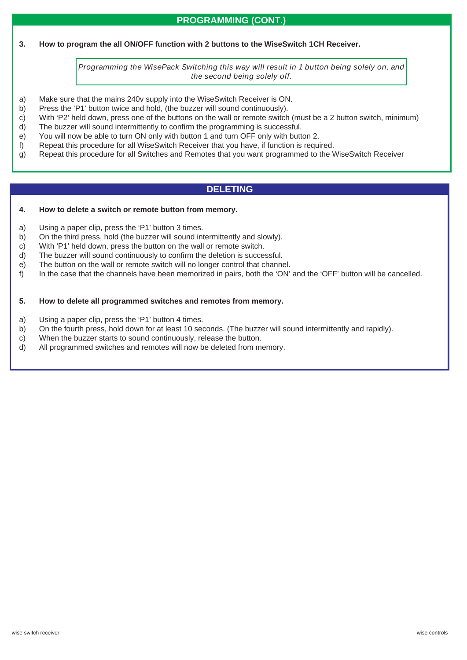# **PROGRAMMING (CONT.)**

**How to program the all ON/OFF function with 2 buttons to the WiseSwitch 1CH Receiver. 3.**

> *Programming the WisePack Switching this way will result in 1 button being solely on, and the second being solely off.*

- Make sure that the mains 240v supply into the WiseSwitch Receiver is ON. a)
- Press the 'P1' button twice and hold, (the buzzer will sound continuously). b)
- With 'P2' held down, press one of the buttons on the wall or remote switch (must be a 2 button switch, minimum) c)
- The buzzer will sound intermittently to confirm the programming is successful. d)
- You will now be able to turn ON only with button 1 and turn OFF only with button 2. e)
- Repeat this procedure for all WiseSwitch Receiver that you have, if function is required. f)
- Repeat this procedure for all Switches and Remotes that you want programmed to the WiseSwitch Receiver g)

# **DELETING**

#### **How to delete a switch or remote button from memory. 4.**

- Using a paper clip, press the 'P1' button 3 times. a)
- On the third press, hold (the buzzer will sound intermittently and slowly). b)
- With 'P1' held down, press the button on the wall or remote switch. c)
- The buzzer will sound continuously to confirm the deletion is successful. d)
- The button on the wall or remote switch will no longer control that channel. e)
- In the case that the channels have been memorized in pairs, both the 'ON' and the 'OFF' button will be cancelled. f)

#### **How to delete all programmed switches and remotes from memory. 5.**

- Using a paper clip, press the 'P1' button 4 times. a)
- On the fourth press, hold down for at least 10 seconds. (The buzzer will sound intermittently and rapidly). b)
- When the buzzer starts to sound continuously, release the button. c)
- All programmed switches and remotes will now be deleted from memory. d)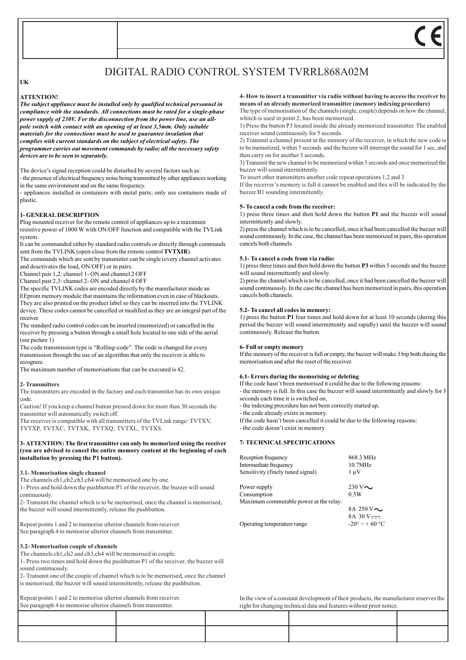# DIGITAL RADIO CONTROL SYSTEM TVRRL868A02M

## **UK**

#### **ATTENTION!**

*The subject appliance must be installed only by qualified technical personnel in compliance with the standards. All connections must be rated for a single-phase power supply of 230V. For the disconnection from the power line, use an allpole switch with contact with an opening of at least 3,5mm. Only suitable materials for the connections must be used to guarantee insulation that complies with current standards on the subject of electrical safety. The programmer carries out movement commands by radio; all the necessary safety devices are to be seen to separately.*

The device's signal reception could be disturbed by several factors such as: - the presence of electrical frequency noise being transmitted by other appliances working in the same environment and on the same frequency.

- appliances installed in containers with metal parts; only use containers made of plastic.

#### **1- GENERAL DESCRIPTION**

Plug mounted receiver for the remote control of appliances up to a maximum resistive power of 1000 W with ON/OFF function and compatible with the TVLink system.

It can be commanded either by standard radio controls or directly through commands sent from the TVLINK (open-close from the remote control **TVTXIR**).

The commands which are sent by transmitter can be single (every channel activates and deactivates the load, ON/OFF) or in pairs:

Channel pair 1,2: channel 1- ON and channel 2 OFF

Channel pair 2,3: channel 2- ON and channel 4 OFF

The specific TVLINK codes are encoded directly by the manufacturer inside an EEprom memory module that maintains the information even in case of blackouts. They are also printed on the product label so they can be inserted into the TVLINK device. These codes cannot be cancelled or modified as they are an integral part of the receiver.

The standard radio control codes can be inserted (memorized) or cancelled in the receiver by pressing a button through a small hole located to one side of the aerial (see picture 1)

The code transmission type is "Rolling-code". The code is changed for every transmission through the use of an algorithm that only the receiver is able to recognize.

The maximum number of memorisations that can be executed is 42.

#### **2- Transmitters**

The transmitters are encoded in the factory and each transmitter has its own unique code.

Caution! If you keep a channel button pressed down for more than 30 seconds the transmitter will automatically switch off.

The receiver is compatible with all transmitters of the TVLink range: TVTXV, TVTXP, TVTXC, TVTXK, TVTXQ, TVTXL, TVTXS.

#### **3- ATTENTION: The first transmitter can only be memorized using the receiver (you are advised to cancel the entire memory content at the beginning of each installation by pressing the P1 button).**

#### **3.1- Memorisation single channel**

The channels ch1, ch2, ch3, ch4 will be memorised one by one.

1- Press and hold down the pushbutton P1 of the receiver, the buzzer will sound continuously.

2- Transmit the channel which is to be memorised, once the channel is memorised, the buzzer will sound intermittently, release the pushbutton.

Repeat points 1 and 2 to memorise ulterior channels from receiver. See paragraph 4 to memorise ulterior channels from transmitter.

#### **3.2- Memorisation couple of channels**

The channels ch1, ch2 and ch3, ch4 will be memorised in couple.

1- Press two times and hold down the pushbutton P1 of the receiver, the buzzer will sound continuously.

2- Transmit one of the couple of channel which is to be memorised, once the channel is memorised, the buzzer will sound intermittently, release the pushbutton.

Repeat points 1 and 2 to memorise ulterior channels from receiver.

**4- How to insert a transmitter via radio without having to access the receiver by means of an already memorized transmitter (memory indexing procedure)**

The type of memorisation of the channels (single, couple) depends on how the channel, whitch is used in point 2, has been memorized.

1) Press the button P3 located inside the already memorized transmitter. The enabled receiver sound continuously for 5 seconds.

2) Transmit a channel present in the memory of the receiver, in which the new code is to be memorized, within 5 seconds and the buzzer will interrupt the sound for 1 sec, and then carry on for another 5 seconds.

3) Transmit the new channel to be memorized within 5 seconds and once memorized the buzzer will sound intermittently.

To insert other transmitters another code repeat operations 1,2 and 3

If the receiver's memory is full it cannot be enabled and this will be indicated by the buzzer B1 sounding intermittently.

#### **5- To cancel a code from the receiver:**

1) press three times and then hold down the button **P1** and the buzzer will sound intermittently and slowly.

2) press the channel which is to be cancelled, once it had been cancelled the buzzer will sound continuously. In the case, the channel has been memorized in pairs, this operation cancels both channels.

### **5.1- To cancel a code from via radio:**

1) press three times and then hold down the button **P3** within 5 seconds and the buzzer will sound intermittently and slowly.

2) press the channel which is to be cancelled, once it had been cancelled the buzzer will sound continuously. In the case the channel has been memorized in pairs, this operation cancels both channels.

#### **5.2- To cancel all codes in memory:**

1) press the button **P1** four times and hold down for at least 10 seconds (during this period the buzzer will sound intermittently and rapidly) until the buzzer will sound continuously. Release the button.

#### **6- Full or empty memory**

If the memory of the receiver is full or empty, the buzzer will make 3 bip both during the memorisation and after the reset of the receiver.

#### **6.1- Errors during the memorising or deleting**

If the code hasn't been memorised it could be due to the following reasons: - the memory is full. In this case the buzzer will sound intermittently and slowly for 3 seconds each time it is switched on,

- the indexing procedure has not been correctly started up,

- the code already exists in memory.

If the code hasn't been cancelled it could be due to the following reasons:

- the code doesn't exist in memory.

## **7- TECHNICAL SPECIFICATIONS**

Reception frequency 868.3 MHz Intermediate frequency 10.7MHz Sensitivity (finely tuned signal)  $1 \mu V$ 

Power supply 230 V  $\sim$ Consumption 0.5W Maximum commutable power at the relay:

8A 250 V $\sim$ 8A 30 V Operating temperature range  $-20^\circ \div 60^\circ \text{C}$ 

In the view of a constant development of their products, the manufacturer reserves the right for changing technical data and features without prior notice.

See paragraph 4 to memorise ulterior channels from transmitter.